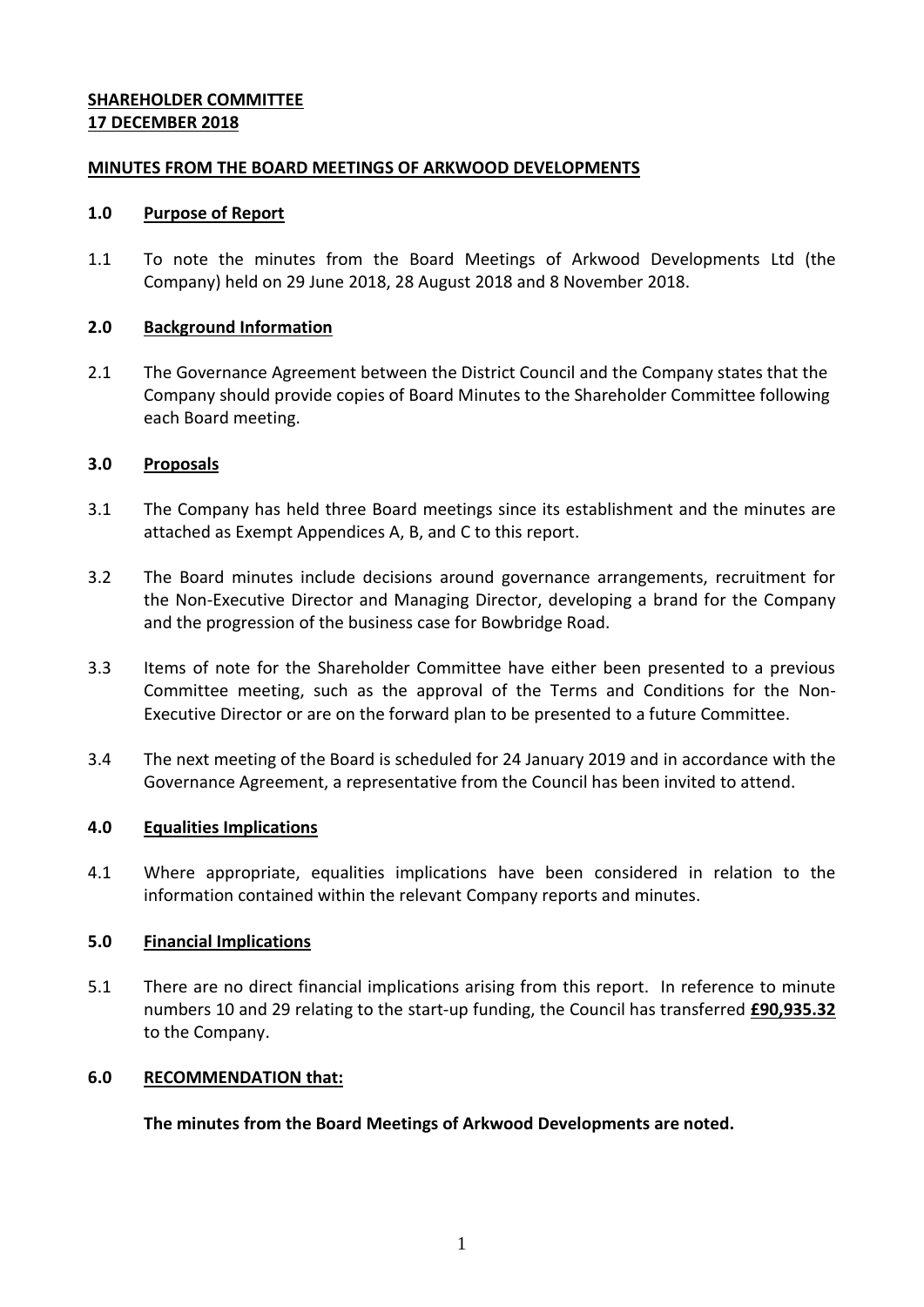# **SHAREHOLDER COMMITTEE 17 DECEMBER 2018**

# **MINUTES FROM THE BOARD MEETINGS OF ARKWOOD DEVELOPMENTS**

#### **1.0 Purpose of Report**

1.1 To note the minutes from the Board Meetings of Arkwood Developments Ltd (the Company) held on 29 June 2018, 28 August 2018 and 8 November 2018.

### **2.0 Background Information**

2.1 The Governance Agreement between the District Council and the Company states that the Company should provide copies of Board Minutes to the Shareholder Committee following each Board meeting.

### **3.0 Proposals**

- 3.1 The Company has held three Board meetings since its establishment and the minutes are attached as Exempt Appendices A, B, and C to this report.
- 3.2 The Board minutes include decisions around governance arrangements, recruitment for the Non-Executive Director and Managing Director, developing a brand for the Company and the progression of the business case for Bowbridge Road.
- 3.3 Items of note for the Shareholder Committee have either been presented to a previous Committee meeting, such as the approval of the Terms and Conditions for the Non-Executive Director or are on the forward plan to be presented to a future Committee.
- 3.4 The next meeting of the Board is scheduled for 24 January 2019 and in accordance with the Governance Agreement, a representative from the Council has been invited to attend.

# **4.0 Equalities Implications**

4.1 Where appropriate, equalities implications have been considered in relation to the information contained within the relevant Company reports and minutes.

# **5.0 Financial Implications**

5.1 There are no direct financial implications arising from this report. In reference to minute numbers 10 and 29 relating to the start-up funding, the Council has transferred **£90,935.32** to the Company.

### **6.0 RECOMMENDATION that:**

#### **The minutes from the Board Meetings of Arkwood Developments are noted.**